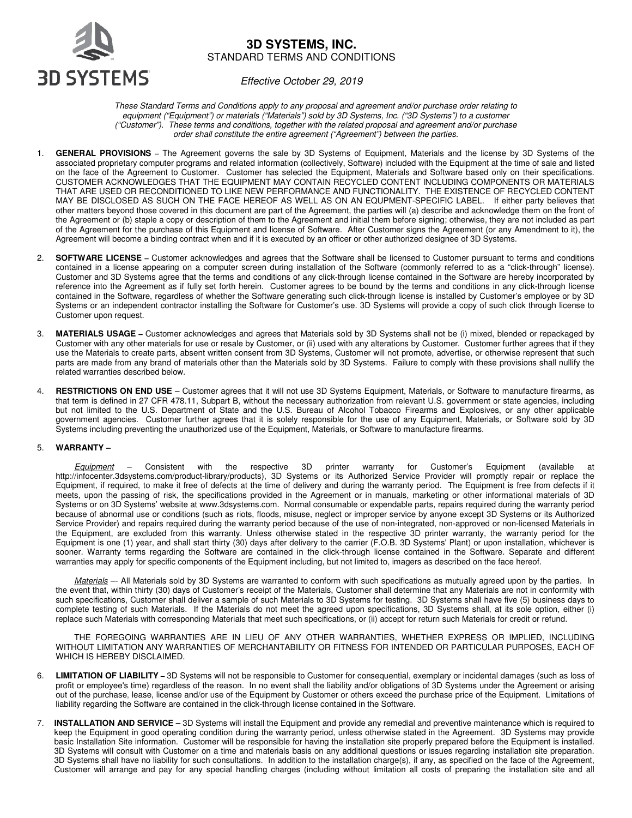

# **3D SYSTEMS, INC.**  STANDARD TERMS AND CONDITIONS

Effective October 29, 2019

These Standard Terms and Conditions apply to any proposal and agreement and/or purchase order relating to equipment ("Equipment") or materials ("Materials") sold by 3D Systems, Inc. ("3D Systems") to a customer ("Customer"). These terms and conditions, together with the related proposal and agreement and/or purchase order shall constitute the entire agreement ("Agreement") between the parties.

- 1. **GENERAL PROVISIONS** The Agreement governs the sale by 3D Systems of Equipment, Materials and the license by 3D Systems of the associated proprietary computer programs and related information (collectively, Software) included with the Equipment at the time of sale and listed on the face of the Agreement to Customer. Customer has selected the Equipment, Materials and Software based only on their specifications. CUSTOMER ACKNOWLEDGES THAT THE EQUIPMENT MAY CONTAIN RECYCLED CONTENT INCLUDING COMPONENTS OR MATERIALS THAT ARE USED OR RECONDITIONED TO LIKE NEW PERFORMANCE AND FUNCTIONALITY. THE EXISTENCE OF RECYCLED CONTENT MAY BE DISCLOSED AS SUCH ON THE FACE HEREOF AS WELL AS ON AN EQUPMENT-SPECIFIC LABEL. If either party believes that other matters beyond those covered in this document are part of the Agreement, the parties will (a) describe and acknowledge them on the front of the Agreement or (b) staple a copy or description of them to the Agreement and initial them before signing; otherwise, they are not included as part of the Agreement for the purchase of this Equipment and license of Software. After Customer signs the Agreement (or any Amendment to it), the Agreement will become a binding contract when and if it is executed by an officer or other authorized designee of 3D Systems.
- 2. **SOFTWARE LICENSE** Customer acknowledges and agrees that the Software shall be licensed to Customer pursuant to terms and conditions contained in a license appearing on a computer screen during installation of the Software (commonly referred to as a "click-through" license). Customer and 3D Systems agree that the terms and conditions of any click-through license contained in the Software are hereby incorporated by reference into the Agreement as if fully set forth herein. Customer agrees to be bound by the terms and conditions in any click-through license contained in the Software, regardless of whether the Software generating such click-through license is installed by Customer's employee or by 3D Systems or an independent contractor installing the Software for Customer's use. 3D Systems will provide a copy of such click through license to Customer upon request.
- 3. **MATERIALS USAGE** Customer acknowledges and agrees that Materials sold by 3D Systems shall not be (i) mixed, blended or repackaged by Customer with any other materials for use or resale by Customer, or (ii) used with any alterations by Customer. Customer further agrees that if they use the Materials to create parts, absent written consent from 3D Systems, Customer will not promote, advertise, or otherwise represent that such parts are made from any brand of materials other than the Materials sold by 3D Systems. Failure to comply with these provisions shall nullify the related warranties described below.
- 4. **RESTRICTIONS ON END USE** Customer agrees that it will not use 3D Systems Equipment, Materials, or Software to manufacture firearms, as that term is defined in 27 CFR 478.11, Subpart B, without the necessary authorization from relevant U.S. government or state agencies, including but not limited to the U.S. Department of State and the U.S. Bureau of Alcohol Tobacco Firearms and Explosives, or any other applicable government agencies. Customer further agrees that it is solely responsible for the use of any Equipment, Materials, or Software sold by 3D Systems including preventing the unauthorized use of the Equipment, Materials, or Software to manufacture firearms.

#### 5. **WARRANTY –**

Equipment – Consistent with the respective 3D printer warranty for Customer's Equipment (available at http://infocenter.3dsystems.com/product-library/products), 3D Systems or its Authorized Service Provider will promptly repair or replace the Equipment, if required, to make it free of defects at the time of delivery and during the warranty period. The Equipment is free from defects if it meets, upon the passing of risk, the specifications provided in the Agreement or in manuals, marketing or other informational materials of 3D Systems or on 3D Systems' website at www.3dsystems.com. Normal consumable or expendable parts, repairs required during the warranty period because of abnormal use or conditions (such as riots, floods, misuse, neglect or improper service by anyone except 3D Systems or its Authorized Service Provider) and repairs required during the warranty period because of the use of non-integrated, non-approved or non-licensed Materials in the Equipment, are excluded from this warranty. Unless otherwise stated in the respective 3D printer warranty, the warranty period for the Equipment is one (1) year, and shall start thirty (30) days after delivery to the carrier (F.O.B. 3D Systems' Plant) or upon installation, whichever is sooner. Warranty terms regarding the Software are contained in the click-through license contained in the Software. Separate and different warranties may apply for specific components of the Equipment including, but not limited to, imagers as described on the face hereof.

Materials -- All Materials sold by 3D Systems are warranted to conform with such specifications as mutually agreed upon by the parties. In the event that, within thirty (30) days of Customer's receipt of the Materials, Customer shall determine that any Materials are not in conformity with such specifications, Customer shall deliver a sample of such Materials to 3D Systems for testing. 3D Systems shall have five (5) business days to complete testing of such Materials. If the Materials do not meet the agreed upon specifications, 3D Systems shall, at its sole option, either (i) replace such Materials with corresponding Materials that meet such specifications, or (ii) accept for return such Materials for credit or refund.

 THE FOREGOING WARRANTIES ARE IN LIEU OF ANY OTHER WARRANTIES, WHETHER EXPRESS OR IMPLIED, INCLUDING WITHOUT LIMITATION ANY WARRANTIES OF MERCHANTABILITY OR FITNESS FOR INTENDED OR PARTICULAR PURPOSES, EACH OF WHICH IS HEREBY DISCLAIMED.

- 6. **LIMITATION OF LIABILITY** 3D Systems will not be responsible to Customer for consequential, exemplary or incidental damages (such as loss of profit or employee's time) regardless of the reason. In no event shall the liability and/or obligations of 3D Systems under the Agreement or arising out of the purchase, lease, license and/or use of the Equipment by Customer or others exceed the purchase price of the Equipment. Limitations of liability regarding the Software are contained in the click-through license contained in the Software.
- 7. **INSTALLATION AND SERVICE** 3D Systems will install the Equipment and provide any remedial and preventive maintenance which is required to keep the Equipment in good operating condition during the warranty period, unless otherwise stated in the Agreement. 3D Systems may provide basic Installation Site information. Customer will be responsible for having the installation site properly prepared before the Equipment is installed. 3D Systems will consult with Customer on a time and materials basis on any additional questions or issues regarding installation site preparation. 3D Systems shall have no liability for such consultations. In addition to the installation charge(s), if any, as specified on the face of the Agreement, Customer will arrange and pay for any special handling charges (including without limitation all costs of preparing the installation site and all